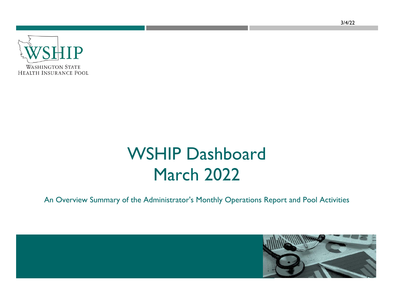

## WSHIP Dashboard March 2022

An Overview Summary of the Administrator's Monthly Operations Report and Pool Activities

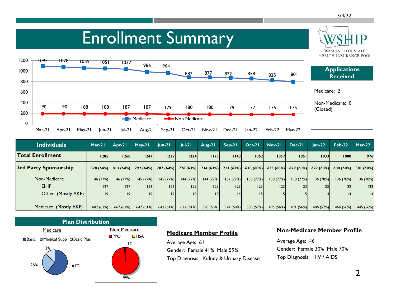**WASHINGTON STATE** 

## Enrollment Summary



| <b>Individuals</b>      | Mar-21   | Apr-21               | $May-21$  | $ un-2 $  | $ ul-2 $                                | Aug-21    | Sep-21    | $Oct-21$  | $Nov-21$  | Dec-21          | $Jan-22$  | $Feb-22$  | $Mar-22$  |
|-------------------------|----------|----------------------|-----------|-----------|-----------------------------------------|-----------|-----------|-----------|-----------|-----------------|-----------|-----------|-----------|
| <b>Total Enrollment</b> | 1285     | 1268                 | 1247      | 1239      | 1224                                    | 1173      | 1143      | 1062      | 1057      | 1051            | 1033      | 10001     | 976       |
| 3rd Party Sponsorship   |          | $828(64%)$ 813 (64%) | 792(64%)  |           | 787 (64%) 776 (63%) 734 (63%) 711 (62%) |           |           | 638(60%)  | 633(60%)  | 629(60%)        | 622(60%)  | 600 (60%) | 581 (60%) |
| Non-Medicare            | 146(77%) | 146(77%)             | 145 (77%) | 145 (77%) | 144 (77%)                               | 144 (77%) | 137(77%)  | 138(77%)  | 138(77%)  | 138(77%)        | 136(78%)  | 136 (78%) | 136 (78%) |
| <b>EHIP</b>             | 27       | 27                   | 126       | 26        | 125                                     | 25        | 23        | 123       | 23        | 23              | 122       | 122       | 22        |
| Other (Mostly AKF)      | 9        | 9                    | 9         | 9         | 9                                       | 19        | 14        |           | 5         | 15 <sup>1</sup> | 4         | 4         | 4         |
|                         |          |                      |           |           |                                         |           |           |           |           |                 |           |           |           |
| Medicare (Mostly AKF)   | 682(62%) | 667 (62%)            | 647(61%)  | 642(61%)  | 632 (61%)                               | 590 (60%) | 574 (60%) | 500 (57%) | 495 (56%) | 491 (56%)       | 486 (57%) | 464 (56%) | 445 (56%) |



#### **Medicare Member Profile**

Average Age: 61 Gender: Female 41% Male 59% Top Diagnosis: Kidney & Urinary Disease

#### **Non-Medicare Member Profile**

Average Age: 46 Gender: Female 30% Male 70% Top Diagnosis: HIV / AIDS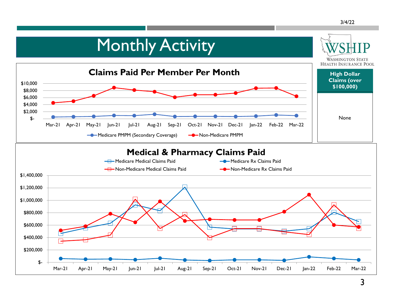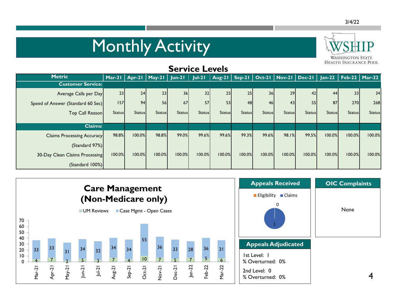# Monthly Activity



| <b>Service Levels</b>             |               |               |                          |                 |               |               |                                            |               |               |               |               |                          |               |
|-----------------------------------|---------------|---------------|--------------------------|-----------------|---------------|---------------|--------------------------------------------|---------------|---------------|---------------|---------------|--------------------------|---------------|
| <b>Metric</b>                     |               |               | Mar-21   Apr-21   May-21 | $Jun-21$        | $ ul-2 $      |               | Aug-21   Sep-21   Oct-21   Nov-21   Dec-21 |               |               |               |               | Jan-22   Feb-22   Mar-22 |               |
| <b>Customer Service:</b>          |               |               |                          |                 |               |               |                                            |               |               |               |               |                          |               |
| Average Calls per Day             | 23            | 24            | 23                       | 36 <sub>l</sub> | 32            | 25            | 25                                         | 36            | 29            | 42            | 44            | 33                       | 34            |
| Speed of Answer (Standard 60 Sec) | 157           | 94            | 56                       | 67              | 57            | 53            | 48                                         | 46            | 43            | 55            | 87            | 270                      | 268           |
| Top Call Reason                   | <b>Status</b> | <b>Status</b> | <b>Status</b>            | <b>Status</b>   | <b>Status</b> | <b>Status</b> | <b>Status</b>                              | <b>Status</b> | <b>Status</b> | <b>Status</b> | <b>Status</b> | <b>Status</b>            | <b>Status</b> |
| <b>Claims:</b>                    |               |               |                          |                 |               |               |                                            |               |               |               |               |                          |               |
| <b>Claims Processing Accuracy</b> | 98.8%         | 100.0%        | 98.8%                    | 99.0%           | 99.6%         | 99.6%         | 99.3%                                      | 99.6%         | 98.1%         | 99.5%         | 100.0%        | 100.0%                   | 100.0%        |
| (Standard 97%)                    |               |               |                          |                 |               |               |                                            |               |               |               |               |                          |               |
| 30-Day Clean Claims Processing    | 100.0%        | 100.0%        | 100.0%                   | 100.0%          | 100.0%        | 100.0%        | 100.0%                                     | 100.0%        | 100.0%        | 100.0%        | 100.0%        | 100.0%                   | 100.0%        |
| (Standard 100%)                   |               |               |                          |                 |               |               |                                            |               |               |               |               |                          |               |